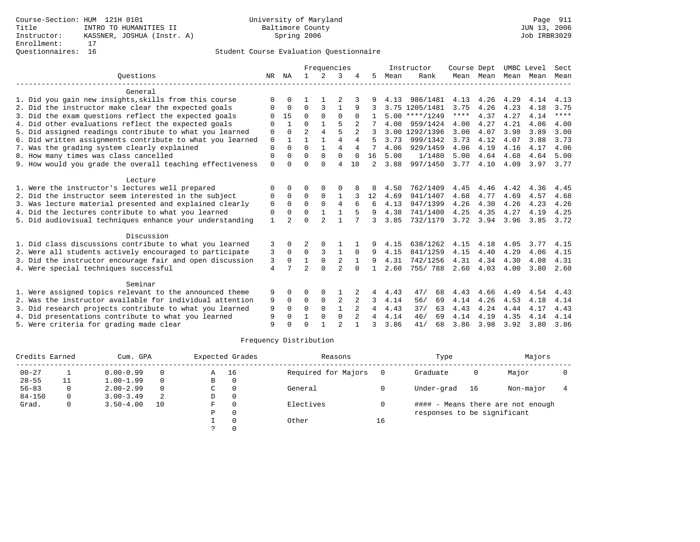# Questionnaires: 16 Student Course Evaluation Questionnaire

|                |                | Frequencies    |                |                |                |                |      |           | Course Dept                                                               |      | UMBC Level   |           | Sect        |
|----------------|----------------|----------------|----------------|----------------|----------------|----------------|------|-----------|---------------------------------------------------------------------------|------|--------------|-----------|-------------|
|                |                | $\mathbf{1}$   | $\mathcal{L}$  | 3              |                | 5              | Mean | Rank      |                                                                           |      | Mean         | Mean      | Mean        |
|                |                |                |                |                |                |                |      |           |                                                                           |      |              |           |             |
| $\Omega$       | <sup>0</sup>   |                |                |                |                |                | 4.13 | 986/1481  | 4.13                                                                      | 4.26 | 4.29         | 4.14      | 4.13        |
| O              | 0              | $\Omega$       | 3              | 1              | 9              |                |      |           | 3.75                                                                      | 4.26 | 4.23         | 4.18      | 3.75        |
|                | 15             | $\Omega$       | $\Omega$       | $\Omega$       |                |                |      |           | $***$ * * *                                                               | 4.37 | 4.27         | 4.14      | $***$ * * * |
| $\Omega$       | $\mathbf{1}$   | $\Omega$       | $\mathbf{1}$   | 5              |                |                | 4.00 | 959/1424  | 4.00                                                                      | 4.27 | 4.21         | 4.06      | 4.00        |
| 0              | $\Omega$       | $\overline{2}$ | $\overline{4}$ | 5              | $\overline{2}$ |                |      |           | 3.00                                                                      | 4.07 | 3.98         | 3.89      | 3.00        |
| $\mathbf 0$    | $\mathbf{1}$   | 1              | $\mathbf{1}$   | $\overline{4}$ | 4              | 5              | 3.73 | 999/1342  | 3.73                                                                      | 4.12 | 4.07         | 3.88      | 3.73        |
| $\Omega$       |                | $\Omega$       | $\mathbf{1}$   | $\overline{4}$ | 4              |                | 4.06 | 929/1459  | 4.06                                                                      | 4.19 | 4.16         | 4.17      | 4.06        |
| 0              | 0              | $\Omega$       | $\Omega$       | $\Omega$       | $\Omega$       | 16             | 5.00 | 1/1480    | 5.00                                                                      | 4.64 | 4.68         | 4.64      | 5.00        |
| $\mathbf 0$    | <sup>0</sup>   | $\Omega$       | $\cap$         | 4              | 10             | $\mathfrak{D}$ | 3.88 | 997/1450  | 3.77                                                                      |      | 4.09         | 3.97      | 3.77        |
|                |                |                |                |                |                |                |      |           |                                                                           |      |              |           |             |
| $\Omega$       | 0              | 0              | O              |                |                | 8              | 4.50 | 762/1409  | 4.45                                                                      | 4.46 | 4.42         | 4.36      | 4.45        |
| $\Omega$       | $\Omega$       | $\Omega$       | $\Omega$       | 1              |                | 12             | 4.69 | 941/1407  | 4.68                                                                      | 4.77 | 4.69         | 4.57      | 4.68        |
| 0              | $\Omega$       | $\Omega$       | $\Omega$       | $\overline{4}$ |                | 6              | 4.13 | 947/1399  | 4.26                                                                      | 4.30 | 4.26         | 4.23      | 4.26        |
| 0              | $\Omega$       | $\Omega$       |                | 1              |                | 9              | 4.38 | 741/1400  | 4.25                                                                      | 4.35 | 4.27         | 4.19      | 4.25        |
| $\mathbf{1}$   | $\mathfrak{D}$ | $\Omega$       | $\mathfrak{D}$ | $\mathbf{1}$   |                | ζ              | 3.85 | 732/1179  | 3.72                                                                      | 3.94 | 3.96         | 3.85      | 3.72        |
|                |                |                |                |                |                |                |      |           |                                                                           |      |              |           |             |
| 3              | 0              |                | $\Omega$       |                |                | 9              | 4.15 | 638/1262  | 4.15                                                                      | 4.18 | 4.05         | 3.77      | 4.15        |
| 3              | 0              | $\Omega$       | 3              | $\mathbf{1}$   | $\Omega$       | 9              | 4.15 | 841/1259  | 4.15                                                                      | 4.40 | 4.29         | 4.06      | 4.15        |
| 3              | 0              | $\mathbf{1}$   | $\mathsf 0$    | 2              |                | 9              | 4.31 | 742/1256  | 4.31                                                                      | 4.34 | 4.30         | 4.08      | 4.31        |
| $\overline{4}$ |                | $\overline{a}$ | $\Omega$       | $\overline{2}$ | $\Omega$       |                | 2.60 | 755/ 788  | 2.60                                                                      | 4.03 | 4.00         | 3.80      | 2.60        |
|                |                |                |                |                |                |                |      |           |                                                                           |      |              |           |             |
|                | 0              | 0              | $\Omega$       |                |                | 4              | 4.43 | 47/<br>68 | 4.43                                                                      | 4.66 | 4.49         | 4.54      | 4.43        |
|                | 0              | $\mathbf 0$    | $\mathbf 0$    |                | 2              | 3              | 4.14 | 69        | 4.14                                                                      |      | 4.53         | 4.18      | 4.14        |
| 9              | $\Omega$       | $\Omega$       | $\Omega$       | $\mathbf{1}$   |                |                | 4.43 | 37/<br>63 | 4.43                                                                      | 4.24 | 4.44         | 4.17      | 4.43        |
| 9              | 0              |                | $\Omega$       | $\Omega$       |                | 4              | 4.14 | 46/<br>69 | 4.14                                                                      | 4.19 | 4.35         | 4.14      | 4.14        |
| 9              |                | $\Omega$       |                | $\overline{2}$ |                | 3              | 3.86 | 41/<br>68 | 3.86                                                                      | 3.98 | 3.92         | 3.80      | 3.86        |
|                | 9<br>9         | NR NA          |                |                | 2              |                |      |           | Instructor<br>3.75 1205/1481<br>$5.00$ ****/1249<br>3.00 1292/1396<br>56/ |      | 4.10<br>4.26 | Mean Mean |             |

## Frequency Distribution

| Credits Earned |   | Cum. GPA      |    |   | Expected Grades | Reasons             |    | Type                        | Majors |                                   |  |
|----------------|---|---------------|----|---|-----------------|---------------------|----|-----------------------------|--------|-----------------------------------|--|
| $00 - 27$      |   | $0.00 - 0.99$ |    | A | 16              | Required for Majors |    | Graduate                    | 0      | Major                             |  |
| $28 - 55$      |   | $1.00 - 1.99$ |    | B | $\mathbf 0$     |                     |    |                             |        |                                   |  |
| $56 - 83$      | 0 | $2.00 - 2.99$ |    | C | 0               | General             |    | Under-grad                  | 16     | Non-major                         |  |
| $84 - 150$     | 0 | $3.00 - 3.49$ | 2  | D | 0               |                     |    |                             |        |                                   |  |
| Grad.          | 0 | $3.50 - 4.00$ | 10 | F | $\Omega$        | Electives           |    |                             |        | #### - Means there are not enough |  |
|                |   |               |    | Ρ | 0               |                     |    | responses to be significant |        |                                   |  |
|                |   |               |    |   | $\Omega$        | Other               | 16 |                             |        |                                   |  |
|                |   |               |    |   |                 |                     |    |                             |        |                                   |  |